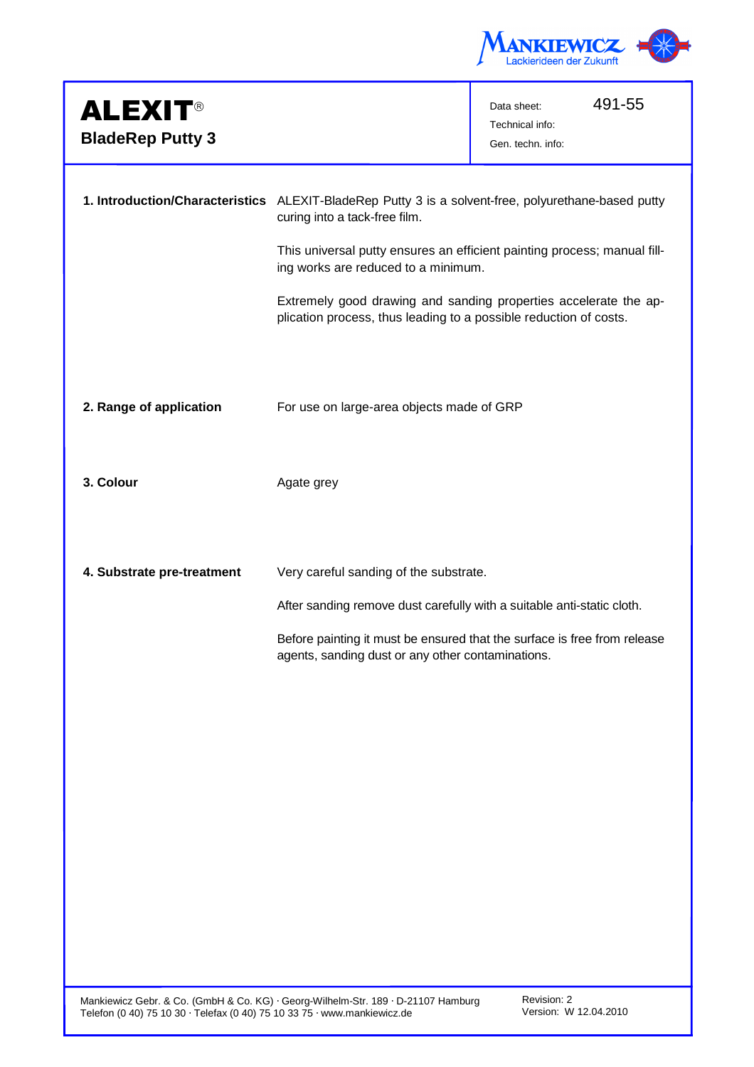

| <b>ALEXIT®</b><br><b>BladeRep Putty 3</b> |                                                                                                                                       | 491-55<br>Data sheet:<br>Technical info:<br>Gen. techn. info: |  |
|-------------------------------------------|---------------------------------------------------------------------------------------------------------------------------------------|---------------------------------------------------------------|--|
|                                           | 1. Introduction/Characteristics ALEXIT-BladeRep Putty 3 is a solvent-free, polyurethane-based putty<br>curing into a tack-free film.  |                                                               |  |
|                                           | This universal putty ensures an efficient painting process; manual fill-<br>ing works are reduced to a minimum.                       |                                                               |  |
|                                           | Extremely good drawing and sanding properties accelerate the ap-<br>plication process, thus leading to a possible reduction of costs. |                                                               |  |
|                                           |                                                                                                                                       |                                                               |  |
| 2. Range of application                   | For use on large-area objects made of GRP                                                                                             |                                                               |  |
| 3. Colour                                 | Agate grey                                                                                                                            |                                                               |  |
| 4. Substrate pre-treatment                | Very careful sanding of the substrate.                                                                                                |                                                               |  |
|                                           | After sanding remove dust carefully with a suitable anti-static cloth.                                                                |                                                               |  |
|                                           | Before painting it must be ensured that the surface is free from release<br>agents, sanding dust or any other contaminations.         |                                                               |  |
|                                           |                                                                                                                                       |                                                               |  |
|                                           |                                                                                                                                       |                                                               |  |
|                                           |                                                                                                                                       |                                                               |  |
|                                           |                                                                                                                                       |                                                               |  |
|                                           |                                                                                                                                       |                                                               |  |